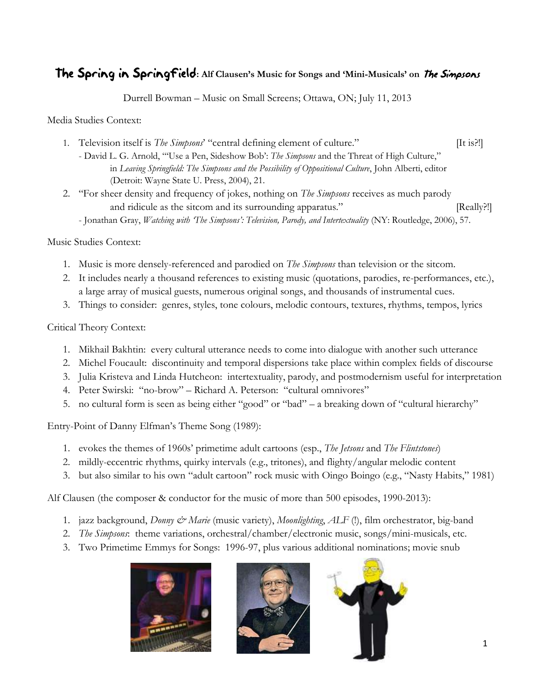## The Spring in Springfield**: Alf Clausen's Music for Songs and 'Mini-Musicals' on** The Simpsons

Durrell Bowman – Music on Small Screens; Ottawa, ON; July 11, 2013

Media Studies Context:

- 1. Television itself is *The Simpsons*' "central defining element of culture." [It is?!] - David L. G. Arnold, "'Use a Pen, Sideshow Bob': *The Simpsons* and the Threat of High Culture," in *Leaving Springfield: The Simpsons and the Possibility of Oppositional Culture*, John Alberti, editor (Detroit: Wayne State U. Press, 2004), 21.
- 2. "For sheer density and frequency of jokes, nothing on *The Simpsons* receives as much parody and ridicule as the sitcom and its surrounding apparatus." [Really?!]
	- Jonathan Gray, *Watching with 'The Simpsons': Television, Parody, and Intertextuality* (NY: Routledge, 2006), 57.

Music Studies Context:

- 1. Music is more densely-referenced and parodied on *The Simpsons* than television or the sitcom.
- 2. It includes nearly a thousand references to existing music (quotations, parodies, re-performances, etc.), a large array of musical guests, numerous original songs, and thousands of instrumental cues.
- 3. Things to consider: genres, styles, tone colours, melodic contours, textures, rhythms, tempos, lyrics

## Critical Theory Context:

- 1. Mikhail Bakhtin: every cultural utterance needs to come into dialogue with another such utterance
- 2. Michel Foucault: discontinuity and temporal dispersions take place within complex fields of discourse
- 3. Julia Kristeva and Linda Hutcheon: intertextuality, parody, and postmodernism useful for interpretation
- 4. Peter Swirski: "no-brow" Richard A. Peterson: "cultural omnivores"
- 5. no cultural form is seen as being either "good" or "bad" a breaking down of "cultural hierarchy"

Entry-Point of Danny Elfman's Theme Song (1989):

- 1. evokes the themes of 1960s' primetime adult cartoons (esp., *The Jetsons* and *The Flintstones*)
- 2. mildly-eccentric rhythms, quirky intervals (e.g., tritones), and flighty/angular melodic content
- 3. but also similar to his own "adult cartoon" rock music with Oingo Boingo (e.g., "Nasty Habits," 1981)

Alf Clausen (the composer & conductor for the music of more than 500 episodes, 1990-2013):

- 1. jazz background, *Donny & Marie* (music variety), *Moonlighting*, *ALF* (!), film orchestrator, big-band
- 2. *The Simpsons*: theme variations, orchestral/chamber/electronic music, songs/mini-musicals, etc.
- 3. Two Primetime Emmys for Songs: 1996-97, plus various additional nominations; movie snub